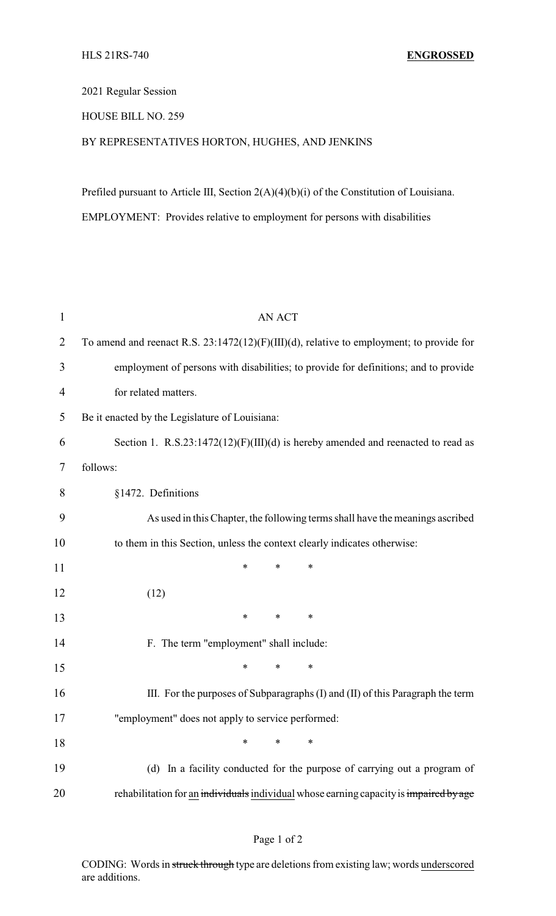## 2021 Regular Session

## HOUSE BILL NO. 259

## BY REPRESENTATIVES HORTON, HUGHES, AND JENKINS

Prefiled pursuant to Article III, Section 2(A)(4)(b)(i) of the Constitution of Louisiana. EMPLOYMENT: Provides relative to employment for persons with disabilities

| $\mathbf{1}$   | <b>AN ACT</b>                                                                               |
|----------------|---------------------------------------------------------------------------------------------|
| $\overline{2}$ | To amend and reenact R.S. $23:1472(12)(F)(III)(d)$ , relative to employment; to provide for |
| 3              | employment of persons with disabilities; to provide for definitions; and to provide         |
| $\overline{4}$ | for related matters.                                                                        |
| 5              | Be it enacted by the Legislature of Louisiana:                                              |
| 6              | Section 1. R.S.23:1472(12)(F)(III)(d) is hereby amended and reenacted to read as            |
| 7              | follows:                                                                                    |
| 8              | §1472. Definitions                                                                          |
| 9              | As used in this Chapter, the following terms shall have the meanings ascribed               |
| 10             | to them in this Section, unless the context clearly indicates otherwise:                    |
| 11             | $\ast$<br>$\ast$<br>*                                                                       |
| 12             | (12)                                                                                        |
| 13             | $\ast$<br>∗<br>∗                                                                            |
| 14             | F. The term "employment" shall include:                                                     |
| 15             | $\ast$<br>*<br>*                                                                            |
| 16             | III. For the purposes of Subparagraphs (I) and (II) of this Paragraph the term              |
| 17             | "employment" does not apply to service performed:                                           |
| 18             | $\ast$<br>$\ast$<br>*                                                                       |
| 19             | (d) In a facility conducted for the purpose of carrying out a program of                    |
| 20             | rehabilitation for an individuals individual whose earning capacity is impaired by age      |

CODING: Words in struck through type are deletions from existing law; words underscored are additions.